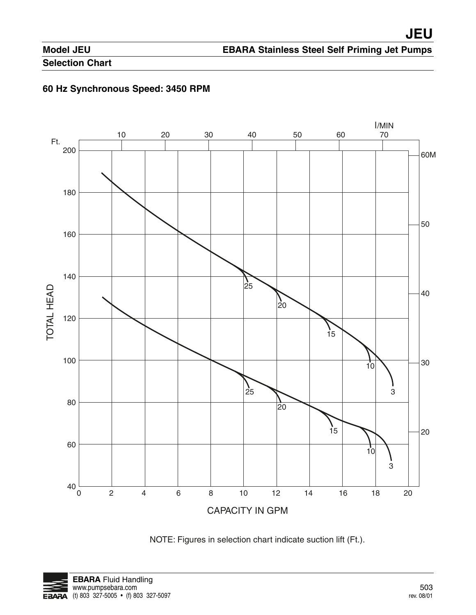# **EBARA Stainless Steel Self Priming Jet Pumps**

# **Selection Chart**

### **60 Hz Synchronous Speed: 3450 RPM**



NOTE: Figures in selection chart indicate suction lift (Ft.).